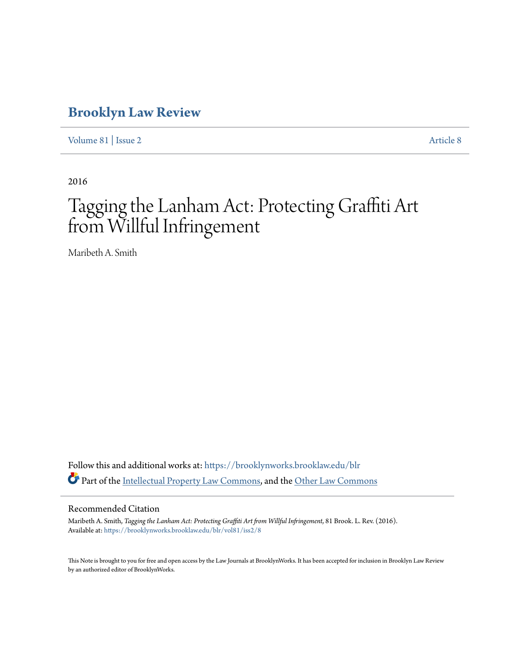# **[Brooklyn Law Review](https://brooklynworks.brooklaw.edu/blr?utm_source=brooklynworks.brooklaw.edu%2Fblr%2Fvol81%2Fiss2%2F8&utm_medium=PDF&utm_campaign=PDFCoverPages)**

[Volume 81](https://brooklynworks.brooklaw.edu/blr/vol81?utm_source=brooklynworks.brooklaw.edu%2Fblr%2Fvol81%2Fiss2%2F8&utm_medium=PDF&utm_campaign=PDFCoverPages) | [Issue 2](https://brooklynworks.brooklaw.edu/blr/vol81/iss2?utm_source=brooklynworks.brooklaw.edu%2Fblr%2Fvol81%2Fiss2%2F8&utm_medium=PDF&utm_campaign=PDFCoverPages) [Article 8](https://brooklynworks.brooklaw.edu/blr/vol81/iss2/8?utm_source=brooklynworks.brooklaw.edu%2Fblr%2Fvol81%2Fiss2%2F8&utm_medium=PDF&utm_campaign=PDFCoverPages)

2016

# Tagging the Lanham Act: Protecting Graffiti Art from Willful Infringement

Maribeth A. Smith

Follow this and additional works at: [https://brooklynworks.brooklaw.edu/blr](https://brooklynworks.brooklaw.edu/blr?utm_source=brooklynworks.brooklaw.edu%2Fblr%2Fvol81%2Fiss2%2F8&utm_medium=PDF&utm_campaign=PDFCoverPages) Part of the [Intellectual Property Law Commons,](http://network.bepress.com/hgg/discipline/896?utm_source=brooklynworks.brooklaw.edu%2Fblr%2Fvol81%2Fiss2%2F8&utm_medium=PDF&utm_campaign=PDFCoverPages) and the [Other Law Commons](http://network.bepress.com/hgg/discipline/621?utm_source=brooklynworks.brooklaw.edu%2Fblr%2Fvol81%2Fiss2%2F8&utm_medium=PDF&utm_campaign=PDFCoverPages)

#### Recommended Citation

Maribeth A. Smith, *Tagging the Lanham Act: Protecting Graffiti Art from Willful Infringement*, 81 Brook. L. Rev. (2016). Available at: [https://brooklynworks.brooklaw.edu/blr/vol81/iss2/8](https://brooklynworks.brooklaw.edu/blr/vol81/iss2/8?utm_source=brooklynworks.brooklaw.edu%2Fblr%2Fvol81%2Fiss2%2F8&utm_medium=PDF&utm_campaign=PDFCoverPages)

This Note is brought to you for free and open access by the Law Journals at BrooklynWorks. It has been accepted for inclusion in Brooklyn Law Review by an authorized editor of BrooklynWorks.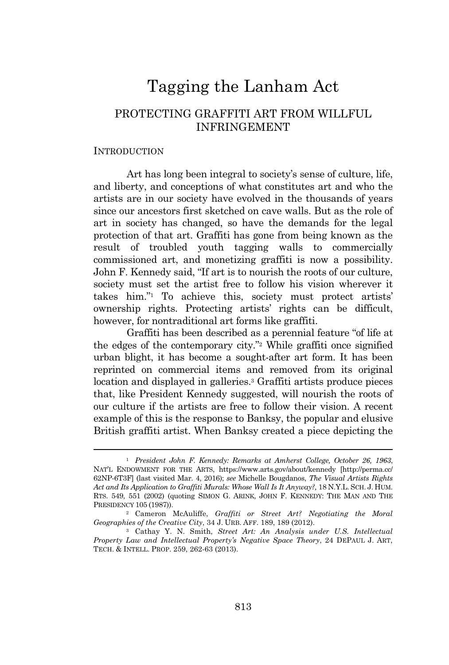# Tagging the Lanham Act

## PROTECTING GRAFFITI ART FROM WILLFUL INFRINGEMENT

#### **INTRODUCTION**

Art has long been integral to society's sense of culture, life, and liberty, and conceptions of what constitutes art and who the artists are in our society have evolved in the thousands of years since our ancestors first sketched on cave walls. But as the role of art in society has changed, so have the demands for the legal protection of that art. Graffiti has gone from being known as the result of troubled youth tagging walls to commercially commissioned art, and monetizing graffiti is now a possibility. John F. Kennedy said, "If art is to nourish the roots of our culture, society must set the artist free to follow his vision wherever it takes him." <sup>1</sup> To achieve this, society must protect artists' ownership rights. Protecting artists' rights can be difficult, however, for nontraditional art forms like graffiti.

Graffiti has been described as a perennial feature "of life at the edges of the contemporary city." <sup>2</sup> While graffiti once signified urban blight, it has become a sought-after art form. It has been reprinted on commercial items and removed from its original location and displayed in galleries.<sup>3</sup> Graffiti artists produce pieces that, like President Kennedy suggested, will nourish the roots of our culture if the artists are free to follow their vision. A recent example of this is the response to Banksy, the popular and elusive British graffiti artist. When Banksy created a piece depicting the

<sup>1</sup> *President John F. Kennedy: Remarks at Amherst College, October 26, 1963*, NAT'<sup>L</sup> ENDOWMENT FOR THE ARTS, https://www.arts.gov/about/kennedy [http://perma.cc/ 62NP-6T3F] (last visited Mar. 4, 2016); *see* Michelle Bougdanos, *The Visual Artists Rights Act and Its Application to Graffiti Murals: Whose Wall Is It Anyway?,* 18 N.Y.L. SCH. J. HUM. RTS. 549, 551 (2002) (quoting SIMON G. ARINK, JOHN F. KENNEDY: THE MAN AND THE PRESIDENCY 105 (1987)).

<sup>2</sup> Cameron McAuliffe, *Graffiti or Street Art? Negotiating the Moral Geographies of the Creative City*, 34 J. URB. AFF. 189, 189 (2012).

<sup>3</sup> Cathay Y. N. Smith, *Street Art: An Analysis under U.S. Intellectual Property Law and Intellectual Property's Negative Space Theory*, 24 DEPAUL J. ART, TECH. & INTELL. PROP. 259, 262-63 (2013).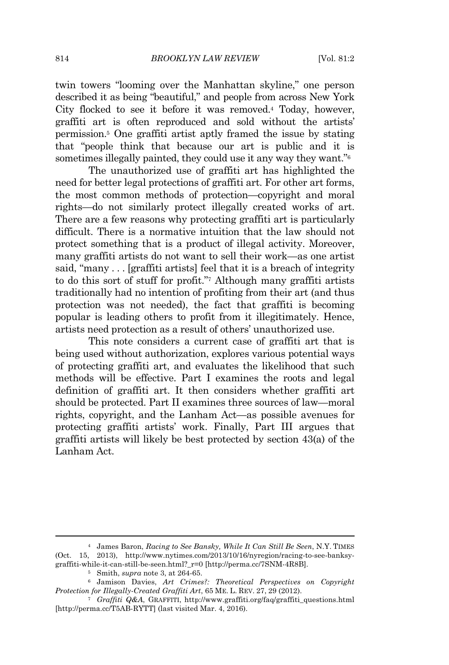twin towers "looming over the Manhattan skyline," one person described it as being "beautiful," and people from across New York City flocked to see it before it was removed.<sup>4</sup> Today, however, graffiti art is often reproduced and sold without the artists' permission.<sup>5</sup> One graffiti artist aptly framed the issue by stating that "people think that because our art is public and it is sometimes illegally painted, they could use it any way they want."<sup>6</sup>

The unauthorized use of graffiti art has highlighted the need for better legal protections of graffiti art. For other art forms, the most common methods of protection—copyright and moral rights—do not similarly protect illegally created works of art. There are a few reasons why protecting graffiti art is particularly difficult. There is a normative intuition that the law should not protect something that is a product of illegal activity. Moreover, many graffiti artists do not want to sell their work—as one artist said, "many . . . [graffiti artists] feel that it is a breach of integrity to do this sort of stuff for profit." <sup>7</sup> Although many graffiti artists traditionally had no intention of profiting from their art (and thus protection was not needed), the fact that graffiti is becoming popular is leading others to profit from it illegitimately. Hence, artists need protection as a result of others' unauthorized use.

This note considers a current case of graffiti art that is being used without authorization, explores various potential ways of protecting graffiti art, and evaluates the likelihood that such methods will be effective. Part I examines the roots and legal definition of graffiti art. It then considers whether graffiti art should be protected. Part II examines three sources of law—moral rights, copyright, and the Lanham Act—as possible avenues for protecting graffiti artists' work. Finally, Part III argues that graffiti artists will likely be best protected by section 43(a) of the Lanham Act.

<sup>4</sup> James Baron, *Racing to See Bansky, While It Can Still Be Seen*, N.Y. TIMES (Oct. 15, 2013), http://www.nytimes.com/2013/10/16/nyregion/racing-to-see-banksygraffiti-while-it-can-still-be-seen.html?\_r=0 [http://perma.cc/7SNM-4R8B].

<sup>5</sup> Smith, *supra* note 3, at 264-65.

<sup>6</sup> Jamison Davies, *Art Crimes?: Theoretical Perspectives on Copyright Protection for Illegally-Created Graffiti Art*, 65 ME. L. REV. 27, 29 (2012).

<sup>7</sup> *Graffiti Q&A*, GRAFFITI, http://www.graffiti.org/faq/graffiti\_questions.html [http://perma.cc/T5AB-RYTT] (last visited Mar. 4, 2016).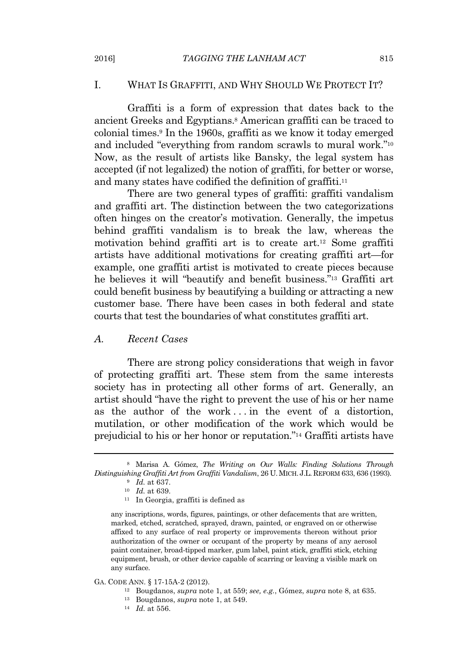#### I. WHAT IS GRAFFITI, AND WHY SHOULD WE PROTECT IT?

Graffiti is a form of expression that dates back to the ancient Greeks and Egyptians.<sup>8</sup> American graffiti can be traced to colonial times.<sup>9</sup> In the 1960s, graffiti as we know it today emerged and included "everything from random scrawls to mural work."<sup>10</sup> Now, as the result of artists like Bansky, the legal system has accepted (if not legalized) the notion of graffiti, for better or worse, and many states have codified the definition of graffiti.<sup>11</sup>

There are two general types of graffiti: graffiti vandalism and graffiti art. The distinction between the two categorizations often hinges on the creator's motivation. Generally, the impetus behind graffiti vandalism is to break the law, whereas the motivation behind graffiti art is to create art.<sup>12</sup> Some graffiti artists have additional motivations for creating graffiti art—for example, one graffiti artist is motivated to create pieces because he believes it will "beautify and benefit business." <sup>13</sup> Graffiti art could benefit business by beautifying a building or attracting a new customer base. There have been cases in both federal and state courts that test the boundaries of what constitutes graffiti art.

#### *A. Recent Cases*

There are strong policy considerations that weigh in favor of protecting graffiti art. These stem from the same interests society has in protecting all other forms of art. Generally, an artist should "have the right to prevent the use of his or her name as the author of the work... in the event of a distortion, mutilation, or other modification of the work which would be prejudicial to his or her honor or reputation." <sup>14</sup> Graffiti artists have

any inscriptions, words, figures, paintings, or other defacements that are written, marked, etched, scratched, sprayed, drawn, painted, or engraved on or otherwise affixed to any surface of real property or improvements thereon without prior authorization of the owner or occupant of the property by means of any aerosol paint container, broad-tipped marker, gum label, paint stick, graffiti stick, etching equipment, brush, or other device capable of scarring or leaving a visible mark on any surface.

GA. CODE ANN. § 17-15A-2 (2012).

<sup>8</sup> Marisa A. Gómez, *The Writing on Our Walls: Finding Solutions Through Distinguishing Graffiti Art from Graffiti Vandalism*, 26 U.MICH. J.L. REFORM 633, 636 (1993).

<sup>9</sup> *Id.* at 637.

<sup>10</sup> *Id.* at 639.

<sup>11</sup> In Georgia, graffiti is defined as

<sup>12</sup> Bougdanos, *supra* note 1, at 559; *see, e.g.*, Gómez, *supra* note 8, at 635.

<sup>13</sup> Bougdanos, *supra* note 1, at 549.

<sup>14</sup> *Id.* at 556.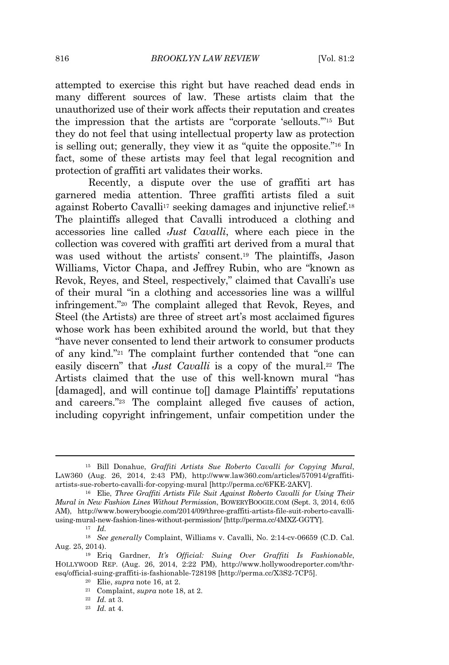attempted to exercise this right but have reached dead ends in many different sources of law. These artists claim that the unauthorized use of their work affects their reputation and creates the impression that the artists are "corporate 'sellouts.'" <sup>15</sup> But they do not feel that using intellectual property law as protection is selling out; generally, they view it as "quite the opposite." <sup>16</sup> In fact, some of these artists may feel that legal recognition and protection of graffiti art validates their works.

Recently, a dispute over the use of graffiti art has garnered media attention. Three graffiti artists filed a suit against Roberto Cavalli<sup>17</sup> seeking damages and injunctive relief.<sup>18</sup> The plaintiffs alleged that Cavalli introduced a clothing and accessories line called *Just Cavalli*, where each piece in the collection was covered with graffiti art derived from a mural that was used without the artists' consent.<sup>19</sup> The plaintiffs, Jason Williams, Victor Chapa, and Jeffrey Rubin, who are "known as Revok, Reyes, and Steel, respectively," claimed that Cavalli's use of their mural "in a clothing and accessories line was a willful infringement." <sup>20</sup> The complaint alleged that Revok, Reyes, and Steel (the Artists) are three of street art's most acclaimed figures whose work has been exhibited around the world, but that they "have never consented to lend their artwork to consumer products of any kind." <sup>21</sup> The complaint further contended that "one can easily discern" that *Just Cavalli* is a copy of the mural.<sup>22</sup> The Artists claimed that the use of this well-known mural "has [damaged], and will continue to<sup>[]</sup> damage Plaintiffs' reputations and careers." <sup>23</sup> The complaint alleged five causes of action, including copyright infringement, unfair competition under the

<sup>15</sup> Bill Donahue, *Graffiti Artists Sue Roberto Cavalli for Copying Mural*, LAW360 (Aug. 26, 2014, 2:43 PM), http://www.law360.com/articles/570914/graffitiartists-sue-roberto-cavalli-for-copying-mural [http://perma.cc/6FKE-2AKV].

<sup>16</sup> Elie, *Three Graffiti Artists File Suit Against Roberto Cavalli for Using Their Mural in New Fashion Lines Without Permission*, BOWERYBOOGIE.COM (Sept. 3, 2014, 6:05 AM), http://www.boweryboogie.com/2014/09/three-graffiti-artists-file-suit-roberto-cavalliusing-mural-new-fashion-lines-without-permission/ [http://perma.cc/4MXZ-GGTY].

<sup>17</sup> *Id.*

<sup>18</sup> *See generally* Complaint, Williams v. Cavalli, No. 2:14-cv-06659 (C.D. Cal. Aug. 25, 2014).

<sup>19</sup> Eriq Gardner, *It's Official: Suing Over Graffiti Is Fashionable*, HOLLYWOOD REP. (Aug. 26, 2014, 2:22 PM), http://www.hollywoodreporter.com/thresq/official-suing-graffiti-is-fashionable-728198 [http://perma.cc/X3S2-7CP5].

<sup>20</sup> Elie, *supra* note 16, at 2.

<sup>21</sup> Complaint, *supra* note 18, at 2.

<sup>22</sup> *Id.* at 3.

<sup>23</sup> *Id.* at 4.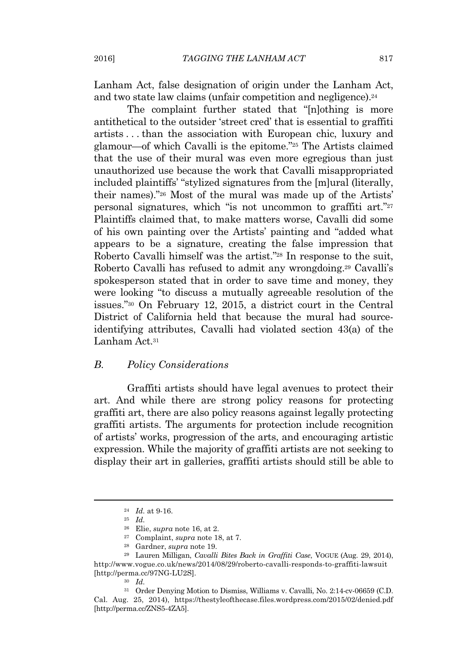Lanham Act, false designation of origin under the Lanham Act, and two state law claims (unfair competition and negligence).<sup>24</sup>

The complaint further stated that "[n]othing is more antithetical to the outsider 'street cred' that is essential to graffiti artists . . . than the association with European chic, luxury and glamour—of which Cavalli is the epitome." <sup>25</sup> The Artists claimed that the use of their mural was even more egregious than just unauthorized use because the work that Cavalli misappropriated included plaintiffs' "stylized signatures from the [m]ural (literally, their names)." <sup>26</sup> Most of the mural was made up of the Artists' personal signatures, which "is not uncommon to graffiti art."<sup>27</sup> Plaintiffs claimed that, to make matters worse, Cavalli did some of his own painting over the Artists' painting and "added what appears to be a signature, creating the false impression that Roberto Cavalli himself was the artist." <sup>28</sup> In response to the suit, Roberto Cavalli has refused to admit any wrongdoing.<sup>29</sup> Cavalli's spokesperson stated that in order to save time and money, they were looking "to discuss a mutually agreeable resolution of the issues." <sup>30</sup> On February 12, 2015, a district court in the Central District of California held that because the mural had sourceidentifying attributes, Cavalli had violated section 43(a) of the Lanham Act.<sup>31</sup>

#### *B. Policy Considerations*

Graffiti artists should have legal avenues to protect their art. And while there are strong policy reasons for protecting graffiti art, there are also policy reasons against legally protecting graffiti artists. The arguments for protection include recognition of artists' works, progression of the arts, and encouraging artistic expression. While the majority of graffiti artists are not seeking to display their art in galleries, graffiti artists should still be able to

<sup>24</sup> *Id.* at 9-16.

<sup>25</sup> *Id.*

<sup>26</sup> Elie, *supra* note 16, at 2.

<sup>27</sup> Complaint, *supra* note 18, at 7.

<sup>28</sup> Gardner, *supra* note 19.

<sup>29</sup> Lauren Milligan, *Cavalli Bites Back in Graffiti Case*, VOGUE (Aug. 29, 2014), http://www.vogue.co.uk/news/2014/08/29/roberto-cavalli-responds-to-graffiti-lawsuit [http://perma.cc/97NG-LU2S].

<sup>30</sup> *Id.*

<sup>31</sup> Order Denying Motion to Dismiss, Williams v. Cavalli, No. 2:14-cv-06659 (C.D. Cal. Aug. 25, 2014), https://thestyleofthecase.files.wordpress.com/2015/02/denied.pdf [http://perma.cc/ZNS5-4ZA5].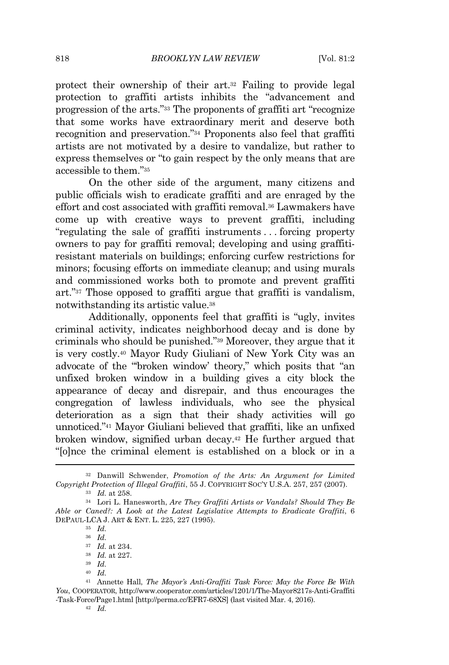protect their ownership of their art.<sup>32</sup> Failing to provide legal protection to graffiti artists inhibits the "advancement and progression of the arts." <sup>33</sup> The proponents of graffiti art "recognize that some works have extraordinary merit and deserve both recognition and preservation." <sup>34</sup> Proponents also feel that graffiti artists are not motivated by a desire to vandalize, but rather to express themselves or "to gain respect by the only means that are accessible to them." 35

On the other side of the argument, many citizens and public officials wish to eradicate graffiti and are enraged by the effort and cost associated with graffiti removal.<sup>36</sup> Lawmakers have come up with creative ways to prevent graffiti, including "regulating the sale of graffiti instruments . . . forcing property owners to pay for graffiti removal; developing and using graffitiresistant materials on buildings; enforcing curfew restrictions for minors; focusing efforts on immediate cleanup; and using murals and commissioned works both to promote and prevent graffiti art." <sup>37</sup> Those opposed to graffiti argue that graffiti is vandalism, notwithstanding its artistic value.<sup>38</sup>

Additionally, opponents feel that graffiti is "ugly, invites criminal activity, indicates neighborhood decay and is done by criminals who should be punished." <sup>39</sup> Moreover, they argue that it is very costly.<sup>40</sup> Mayor Rudy Giuliani of New York City was an advocate of the "'broken window' theory," which posits that "an unfixed broken window in a building gives a city block the appearance of decay and disrepair, and thus encourages the congregation of lawless individuals, who see the physical deterioration as a sign that their shady activities will go unnoticed." <sup>41</sup> Mayor Giuliani believed that graffiti, like an unfixed broken window, signified urban decay.<sup>42</sup> He further argued that "[o]nce the criminal element is established on a block or in a

<sup>35</sup> *Id.*

<sup>32</sup> Danwill Schwender, *Promotion of the Arts: An Argument for Limited Copyright Protection of Illegal Graffiti*, 55 J. COPYRIGHT SOC'<sup>Y</sup> U.S.A. 257, 257 (2007). <sup>33</sup> *Id.* at 258.

<sup>34</sup> Lori L. Hanesworth, *Are They Graffiti Artists or Vandals? Should They Be Able or Caned?: A Look at the Latest Legislative Attempts to Eradicate Graffiti*, 6 DEPAUL-LCA J. ART & ENT. L. 225, 227 (1995).

<sup>36</sup> *Id.*

<sup>37</sup> *Id.* at 234.

<sup>38</sup> *Id.* at 227.

<sup>39</sup> *Id.*

<sup>40</sup> *Id.*

<sup>41</sup> Annette Hall, *The Mayor's Anti-Graffiti Task Force: May the Force Be With You*, COOPERATOR, http://www.cooperator.com/articles/1201/1/The-Mayor8217s-Anti-Graffiti -Task-Force/Page1.html [http://perma.cc/EFR7-68XS] (last visited Mar. 4, 2016).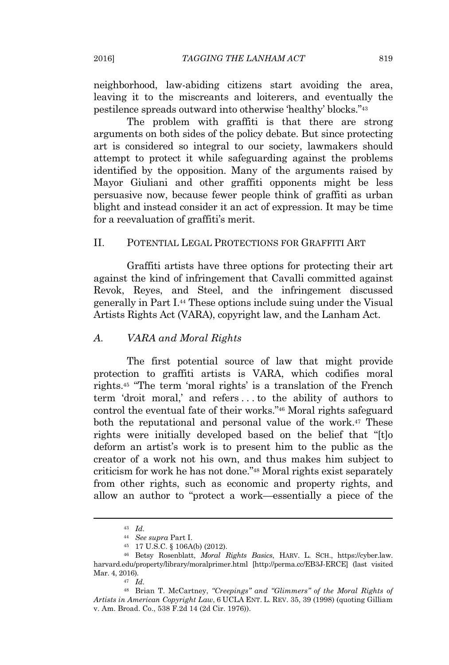neighborhood, law-abiding citizens start avoiding the area, leaving it to the miscreants and loiterers, and eventually the pestilence spreads outward into otherwise 'healthy' blocks." 43

The problem with graffiti is that there are strong arguments on both sides of the policy debate. But since protecting art is considered so integral to our society, lawmakers should attempt to protect it while safeguarding against the problems identified by the opposition. Many of the arguments raised by Mayor Giuliani and other graffiti opponents might be less persuasive now, because fewer people think of graffiti as urban blight and instead consider it an act of expression. It may be time for a reevaluation of graffiti's merit.

#### II. POTENTIAL LEGAL PROTECTIONS FOR GRAFFITI ART

Graffiti artists have three options for protecting their art against the kind of infringement that Cavalli committed against Revok, Reyes, and Steel, and the infringement discussed generally in Part I.<sup>44</sup> These options include suing under the Visual Artists Rights Act (VARA), copyright law, and the Lanham Act.

#### *A. VARA and Moral Rights*

The first potential source of law that might provide protection to graffiti artists is VARA, which codifies moral rights.<sup>45</sup> "The term 'moral rights' is a translation of the French term 'droit moral,' and refers . . . to the ability of authors to control the eventual fate of their works." <sup>46</sup> Moral rights safeguard both the reputational and personal value of the work.<sup>47</sup> These rights were initially developed based on the belief that "[t]o deform an artist's work is to present him to the public as the creator of a work not his own, and thus makes him subject to criticism for work he has not done." <sup>48</sup> Moral rights exist separately from other rights, such as economic and property rights, and allow an author to "protect a work—essentially a piece of the

<sup>43</sup> *Id.*

<sup>44</sup> *See supra* Part I.

<sup>45</sup> 17 U.S.C. § 106A(b) (2012).

<sup>46</sup> Betsy Rosenblatt, *Moral Rights Basics*, HARV. L. SCH., https://cyber.law. harvard.edu/property/library/moralprimer.html [http://perma.cc/EB3J-ERCE] (last visited Mar. 4, 2016).

<sup>47</sup> *Id.*

<sup>48</sup> Brian T. McCartney, *"Creepings" and "Glimmers" of the Moral Rights of Artists in American Copyright Law*, 6 UCLA ENT. L. REV. 35, 39 (1998) (quoting Gilliam v. Am. Broad. Co., 538 F.2d 14 (2d Cir. 1976)).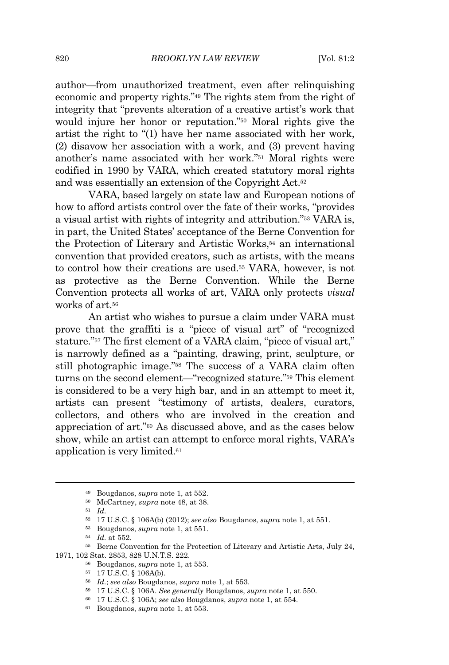author—from unauthorized treatment, even after relinquishing economic and property rights."<sup>49</sup> The rights stem from the right of integrity that "prevents alteration of a creative artist's work that would injure her honor or reputation." <sup>50</sup> Moral rights give the artist the right to "(1) have her name associated with her work, (2) disavow her association with a work, and (3) prevent having another's name associated with her work." <sup>51</sup> Moral rights were codified in 1990 by VARA, which created statutory moral rights and was essentially an extension of the Copyright Act.<sup>52</sup>

VARA, based largely on state law and European notions of how to afford artists control over the fate of their works, "provides a visual artist with rights of integrity and attribution."<sup>53</sup> VARA is, in part, the United States' acceptance of the Berne Convention for the Protection of Literary and Artistic Works,<sup>54</sup> an international convention that provided creators, such as artists, with the means to control how their creations are used.<sup>55</sup> VARA, however, is not as protective as the Berne Convention. While the Berne Convention protects all works of art, VARA only protects *visual* works of art.<sup>56</sup>

An artist who wishes to pursue a claim under VARA must prove that the graffiti is a "piece of visual art" of "recognized stature."<sup>57</sup> The first element of a VARA claim, "piece of visual art," is narrowly defined as a "painting, drawing, print, sculpture, or still photographic image." <sup>58</sup> The success of a VARA claim often turns on the second element—"recognized stature." <sup>59</sup> This element is considered to be a very high bar, and in an attempt to meet it, artists can present "testimony of artists, dealers, curators, collectors, and others who are involved in the creation and appreciation of art." <sup>60</sup> As discussed above, and as the cases below show, while an artist can attempt to enforce moral rights, VARA's application is very limited.<sup>61</sup>

<sup>49</sup> Bougdanos, *supra* note 1, at 552.

<sup>50</sup> McCartney, *supra* note 48, at 38.

<sup>51</sup> *Id.*

<sup>52</sup> 17 U.S.C. § 106A(b) (2012); *see also* Bougdanos, *supra* note 1, at 551.

<sup>53</sup> Bougdanos, *supra* note 1, at 551.

<sup>54</sup> *Id.* at 552.

<sup>55</sup> Berne Convention for the Protection of Literary and Artistic Arts, July 24, 1971, 102 Stat. 2853, 828 U.N.T.S. 222.

<sup>56</sup> Bougdanos, *supra* note 1, at 553.

<sup>57</sup> 17 U.S.C. § 106A(b).

<sup>58</sup> *Id.*; *see also* Bougdanos, *supra* note 1, at 553.

<sup>59</sup> 17 U.S.C. § 106A. *See generally* Bougdanos, *supra* note 1, at 550.

<sup>60</sup> 17 U.S.C. § 106A; *see also* Bougdanos, *supra* note 1, at 554.

<sup>61</sup> Bougdanos, *supra* note 1, at 553.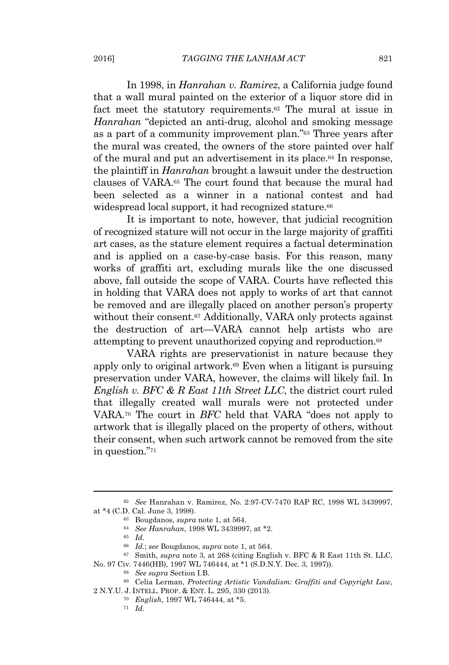In 1998, in *Hanrahan v. Ramirez*, a California judge found that a wall mural painted on the exterior of a liquor store did in fact meet the statutory requirements.<sup>62</sup> The mural at issue in *Hanrahan* "depicted an anti-drug, alcohol and smoking message as a part of a community improvement plan." <sup>63</sup> Three years after the mural was created, the owners of the store painted over half of the mural and put an advertisement in its place.<sup>64</sup> In response, the plaintiff in *Hanrahan* brought a lawsuit under the destruction clauses of VARA.<sup>65</sup> The court found that because the mural had been selected as a winner in a national contest and had widespread local support, it had recognized stature.<sup>66</sup>

It is important to note, however, that judicial recognition of recognized stature will not occur in the large majority of graffiti art cases, as the stature element requires a factual determination and is applied on a case-by-case basis. For this reason, many works of graffiti art, excluding murals like the one discussed above, fall outside the scope of VARA. Courts have reflected this in holding that VARA does not apply to works of art that cannot be removed and are illegally placed on another person's property without their consent.<sup>67</sup> Additionally, VARA only protects against the destruction of art—VARA cannot help artists who are attempting to prevent unauthorized copying and reproduction.<sup>68</sup>

VARA rights are preservationist in nature because they apply only to original artwork.<sup>69</sup> Even when a litigant is pursuing preservation under VARA, however, the claims will likely fail. In *English v. BFC & R East 11th Street LLC*, the district court ruled that illegally created wall murals were not protected under VARA.<sup>70</sup> The court in *BFC* held that VARA "does not apply to artwork that is illegally placed on the property of others, without their consent, when such artwork cannot be removed from the site in question." 71

<sup>62</sup> *See* Hanrahan v. Ramirez, No. 2:97-CV-7470 RAP RC, 1998 WL 3439997, at \*4 (C.D. Cal. June 3, 1998).

<sup>63</sup> Bougdanos, *supra* note 1, at 564.

<sup>64</sup> *See Hanrahan*, 1998 WL 3439997, at \*2.

<sup>65</sup> *Id.*

<sup>66</sup> *Id.*; *see* Bougdanos, *supra* note 1, at 564.

<sup>67</sup> Smith, *supra* note 3, at 268 (citing English v. BFC & R East 11th St. LLC,

No. 97 Civ. 7446(HB), 1997 WL 746444, at \*1 (S.D.N.Y. Dec. 3, 1997)).

<sup>68</sup> *See supra* Section I.B.

<sup>69</sup> Celia Lerman, *Protecting Artistic Vandalism: Graffiti and Copyright Law*, 2 N.Y.U. J. INTELL. PROP. & ENT. L. 295, 330 (2013).

<sup>70</sup> *English*, 1997 WL 746444, at \*5.

<sup>71</sup> *Id.*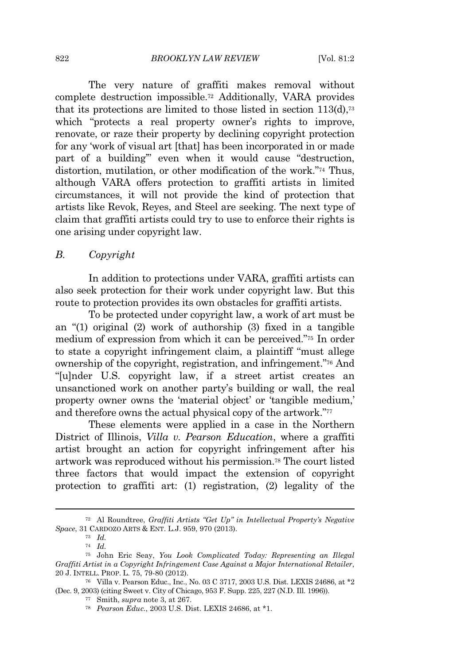The very nature of graffiti makes removal without complete destruction impossible.<sup>72</sup> Additionally, VARA provides that its protections are limited to those listed in section  $113(d)$ ,<sup>73</sup> which "protects a real property owner's rights to improve, renovate, or raze their property by declining copyright protection for any 'work of visual art [that] has been incorporated in or made part of a building'" even when it would cause "destruction, distortion, mutilation, or other modification of the work."74 Thus, although VARA offers protection to graffiti artists in limited circumstances, it will not provide the kind of protection that artists like Revok, Reyes, and Steel are seeking. The next type of claim that graffiti artists could try to use to enforce their rights is one arising under copyright law.

#### *B. Copyright*

In addition to protections under VARA, graffiti artists can also seek protection for their work under copyright law. But this route to protection provides its own obstacles for graffiti artists.

To be protected under copyright law, a work of art must be an "(1) original (2) work of authorship (3) fixed in a tangible medium of expression from which it can be perceived." <sup>75</sup> In order to state a copyright infringement claim, a plaintiff "must allege ownership of the copyright, registration, and infringement." <sup>76</sup> And "[u]nder U.S. copyright law, if a street artist creates an unsanctioned work on another party's building or wall, the real property owner owns the 'material object' or 'tangible medium,' and therefore owns the actual physical copy of the artwork."<sup>77</sup>

These elements were applied in a case in the Northern District of Illinois, *Villa v. Pearson Education*, where a graffiti artist brought an action for copyright infringement after his artwork was reproduced without his permission.<sup>78</sup> The court listed three factors that would impact the extension of copyright protection to graffiti art: (1) registration, (2) legality of the

<sup>72</sup> Al Roundtree, *Graffiti Artists "Get Up" in Intellectual Property's Negative Space*, 31 CARDOZO ARTS & ENT. L.J. 959, 970 (2013).

<sup>73</sup> *Id.*

<sup>74</sup> *Id.*

<sup>75</sup> John Eric Seay, *You Look Complicated Today: Representing an Illegal Graffiti Artist in a Copyright Infringement Case Against a Major International Retailer*, 20 J. INTELL. PROP. L. 75, 79-80 (2012).

<sup>76</sup> Villa v. Pearson Educ., Inc., No. 03 C 3717, 2003 U.S. Dist. LEXIS 24686, at \*2 (Dec. 9, 2003) (citing Sweet v. City of Chicago, 953 F. Supp. 225, 227 (N.D. Ill. 1996)).

<sup>77</sup> Smith, *supra* note 3, at 267.

<sup>78</sup> *Pearson Educ.*, 2003 U.S. Dist. LEXIS 24686, at \*1.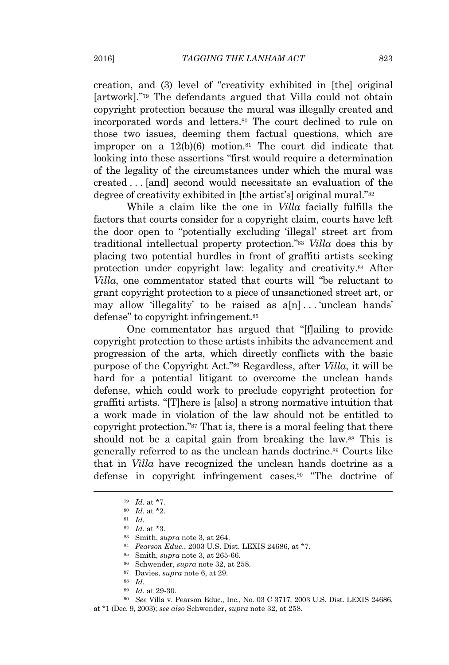creation, and (3) level of "creativity exhibited in [the] original [artwork]." <sup>79</sup> The defendants argued that Villa could not obtain copyright protection because the mural was illegally created and incorporated words and letters.<sup>80</sup> The court declined to rule on those two issues, deeming them factual questions, which are improper on a  $12(b)(6)$  motion.<sup>81</sup> The court did indicate that looking into these assertions "first would require a determination of the legality of the circumstances under which the mural was created . . . [and] second would necessitate an evaluation of the degree of creativity exhibited in [the artist's] original mural."<sup>82</sup>

While a claim like the one in *Villa* facially fulfills the factors that courts consider for a copyright claim, courts have left the door open to "potentially excluding 'illegal' street art from traditional intellectual property protection." <sup>83</sup> *Villa* does this by placing two potential hurdles in front of graffiti artists seeking protection under copyright law: legality and creativity.<sup>84</sup> After *Villa*, one commentator stated that courts will "be reluctant to grant copyright protection to a piece of unsanctioned street art, or may allow 'illegality' to be raised as  $a[n] \dots$  'unclean hands' defense" to copyright infringement.<sup>85</sup>

One commentator has argued that "[f]ailing to provide copyright protection to these artists inhibits the advancement and progression of the arts, which directly conflicts with the basic purpose of the Copyright Act." <sup>86</sup> Regardless, after *Villa*, it will be hard for a potential litigant to overcome the unclean hands defense, which could work to preclude copyright protection for graffiti artists. "[T]here is [also] a strong normative intuition that a work made in violation of the law should not be entitled to copyright protection." <sup>87</sup> That is, there is a moral feeling that there should not be a capital gain from breaking the law.<sup>88</sup> This is generally referred to as the unclean hands doctrine.<sup>89</sup> Courts like that in *Villa* have recognized the unclean hands doctrine as a defense in copyright infringement cases.<sup>90</sup> "The doctrine of

<sup>89</sup> *Id.* at 29-30*.*

<sup>90</sup> *See* Villa v. Pearson Educ., Inc., No. 03 C 3717, 2003 U.S. Dist. LEXIS 24686, at \*1 (Dec. 9, 2003); *see also* Schwender, *supra* note 32, at 258.

<sup>79</sup> *Id.* at \*7*.*

<sup>80</sup> *Id.* at \*2.

<sup>81</sup> *Id.*

<sup>82</sup> *Id.* at \*3.

<sup>83</sup> Smith, *supra* note 3, at 264.

<sup>84</sup> *Pearson Educ.*, 2003 U.S. Dist. LEXIS 24686, at \*7.

<sup>85</sup> Smith, *supra* note 3, at 265-66.

<sup>86</sup> Schwender, *supra* note 32, at 258.

<sup>87</sup> Davies, *supra* note 6, at 29.

<sup>88</sup> *Id.*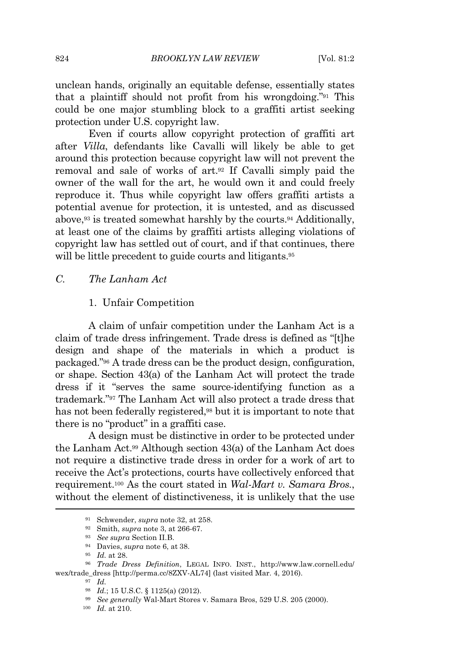unclean hands, originally an equitable defense, essentially states that a plaintiff should not profit from his wrongdoing." <sup>91</sup> This could be one major stumbling block to a graffiti artist seeking protection under U.S. copyright law.

Even if courts allow copyright protection of graffiti art after *Villa*, defendants like Cavalli will likely be able to get around this protection because copyright law will not prevent the removal and sale of works of art.<sup>92</sup> If Cavalli simply paid the owner of the wall for the art, he would own it and could freely reproduce it. Thus while copyright law offers graffiti artists a potential avenue for protection, it is untested, and as discussed above,<sup>93</sup> is treated somewhat harshly by the courts.<sup>94</sup> Additionally, at least one of the claims by graffiti artists alleging violations of copyright law has settled out of court, and if that continues, there will be little precedent to guide courts and litigants.<sup>95</sup>

### *C. The Lanham Act*

#### 1. Unfair Competition

A claim of unfair competition under the Lanham Act is a claim of trade dress infringement. Trade dress is defined as "[t]he design and shape of the materials in which a product is packaged." <sup>96</sup> A trade dress can be the product design, configuration, or shape. Section 43(a) of the Lanham Act will protect the trade dress if it "serves the same source-identifying function as a trademark." <sup>97</sup> The Lanham Act will also protect a trade dress that has not been federally registered,<sup>98</sup> but it is important to note that there is no "product" in a graffiti case.

A design must be distinctive in order to be protected under the Lanham Act.<sup>99</sup> Although section 43(a) of the Lanham Act does not require a distinctive trade dress in order for a work of art to receive the Act's protections, courts have collectively enforced that requirement.<sup>100</sup> As the court stated in *Wal-Mart v. Samara Bros.*, without the element of distinctiveness, it is unlikely that the use

<sup>97</sup> *Id.*

<sup>91</sup> Schwender, *supra* note 32, at 258.

<sup>92</sup> Smith, *supra* note 3, at 266-67.

<sup>93</sup> *See supra* Section II.B.

<sup>94</sup> Davies, *supra* note 6, at 38.

<sup>95</sup> *Id.* at 28.

<sup>96</sup> *Trade Dress Definition*, LEGAL INFO. INST., http://www.law.cornell.edu/ wex/trade\_dress [http://perma.cc/8ZXV-AL74] (last visited Mar. 4, 2016).

<sup>98</sup> *Id.*; 15 U.S.C. § 1125(a) (2012).

<sup>99</sup> *See generally* Wal-Mart Stores v. Samara Bros, 529 U.S. 205 (2000).

<sup>100</sup> *Id.* at 210.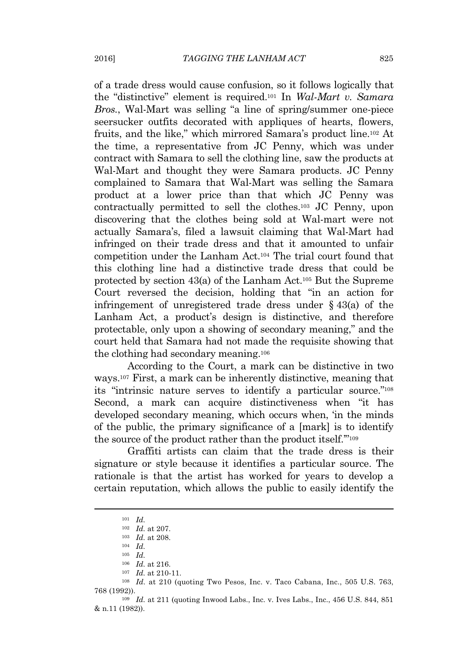of a trade dress would cause confusion, so it follows logically that the "distinctive" element is required.<sup>101</sup> In *Wal-Mart v. Samara Bros.*, Wal-Mart was selling "a line of spring/summer one-piece seersucker outfits decorated with appliques of hearts, flowers, fruits, and the like," which mirrored Samara's product line.<sup>102</sup> At the time, a representative from JC Penny, which was under contract with Samara to sell the clothing line, saw the products at Wal-Mart and thought they were Samara products. JC Penny complained to Samara that Wal-Mart was selling the Samara product at a lower price than that which JC Penny was contractually permitted to sell the clothes.<sup>103</sup> JC Penny, upon discovering that the clothes being sold at Wal-mart were not actually Samara's, filed a lawsuit claiming that Wal-Mart had infringed on their trade dress and that it amounted to unfair competition under the Lanham Act.<sup>104</sup> The trial court found that this clothing line had a distinctive trade dress that could be protected by section 43(a) of the Lanham Act.<sup>105</sup> But the Supreme Court reversed the decision, holding that "in an action for infringement of unregistered trade dress under § 43(a) of the Lanham Act, a product's design is distinctive, and therefore protectable, only upon a showing of secondary meaning," and the court held that Samara had not made the requisite showing that the clothing had secondary meaning.<sup>106</sup>

According to the Court, a mark can be distinctive in two ways.<sup>107</sup> First, a mark can be inherently distinctive, meaning that its "intrinsic nature serves to identify a particular source." 108 Second, a mark can acquire distinctiveness when "it has developed secondary meaning, which occurs when, 'in the minds of the public, the primary significance of a [mark] is to identify the source of the product rather than the product itself."<sup>109</sup>

Graffiti artists can claim that the trade dress is their signature or style because it identifies a particular source. The rationale is that the artist has worked for years to develop a certain reputation, which allows the public to easily identify the

<sup>108</sup> *Id.* at 210 (quoting Two Pesos, Inc. v. Taco Cabana, Inc., 505 U.S. 763, 768 (1992)).

<sup>101</sup> *Id.*

<sup>102</sup> *Id.* at 207.

<sup>103</sup> *Id.* at 208.

<sup>104</sup> *Id.*

<sup>105</sup> *Id.*

<sup>106</sup> *Id.* at 216.

<sup>107</sup> *Id.* at 210-11.

<sup>109</sup> *Id.* at 211 (quoting Inwood Labs., Inc. v. Ives Labs., Inc., 456 U.S. 844, 851 & n.11 (1982)).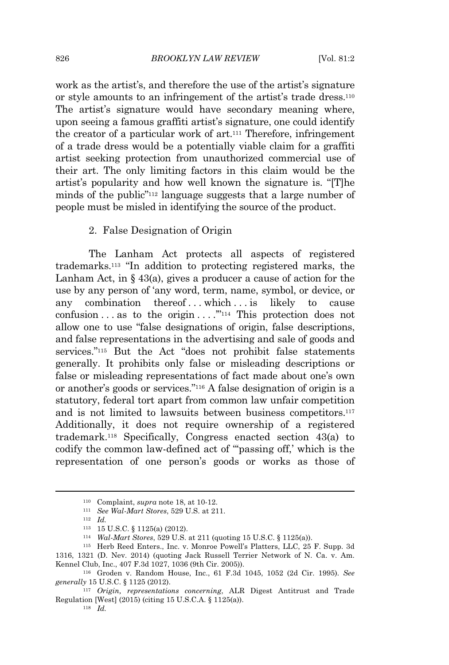work as the artist's, and therefore the use of the artist's signature or style amounts to an infringement of the artist's trade dress.<sup>110</sup> The artist's signature would have secondary meaning where, upon seeing a famous graffiti artist's signature, one could identify the creator of a particular work of art.<sup>111</sup> Therefore, infringement of a trade dress would be a potentially viable claim for a graffiti artist seeking protection from unauthorized commercial use of their art. The only limiting factors in this claim would be the artist's popularity and how well known the signature is. "[T]he minds of the public" <sup>112</sup> language suggests that a large number of people must be misled in identifying the source of the product.

#### 2. False Designation of Origin

The Lanham Act protects all aspects of registered trademarks.<sup>113</sup> "In addition to protecting registered marks, the Lanham Act, in  $\S$  43(a), gives a producer a cause of action for the use by any person of 'any word, term, name, symbol, or device, or any combination thereof...which... is likely to cause confusion ... as to the origin ...  $\cdot$ "<sup>114</sup> This protection does not allow one to use "false designations of origin, false descriptions, and false representations in the advertising and sale of goods and services." <sup>115</sup> But the Act "does not prohibit false statements generally. It prohibits only false or misleading descriptions or false or misleading representations of fact made about one's own or another's goods or services." <sup>116</sup> A false designation of origin is a statutory, federal tort apart from common law unfair competition and is not limited to lawsuits between business competitors.<sup>117</sup> Additionally, it does not require ownership of a registered trademark.<sup>118</sup> Specifically, Congress enacted section 43(a) to codify the common law-defined act of "'passing off,' which is the representation of one person's goods or works as those of

<sup>110</sup> Complaint, *supra* note 18, at 10-12.

<sup>111</sup> *See Wal-Mart Stores*, 529 U.S. at 211.

<sup>112</sup> *Id.*

<sup>113</sup> 15 U.S.C. § 1125(a) (2012).

<sup>114</sup> *Wal-Mart Stores*, 529 U.S. at 211 (quoting 15 U.S.C. § 1125(a)).

<sup>115</sup> Herb Reed Enters., Inc. v. Monroe Powell's Platters, LLC, 25 F. Supp. 3d 1316, 1321 (D. Nev. 2014) (quoting Jack Russell Terrier Network of N. Ca. v. Am. Kennel Club, Inc., 407 F.3d 1027, 1036 (9th Cir. 2005)).

<sup>116</sup> Groden v. Random House, Inc., 61 F.3d 1045, 1052 (2d Cir. 1995)*. See generally* 15 U.S.C. § 1125 (2012).

<sup>117</sup> *Origin, representations concerning*, ALR Digest Antitrust and Trade Regulation [West] (2015) (citing 15 U.S.C.A. § 1125(a)).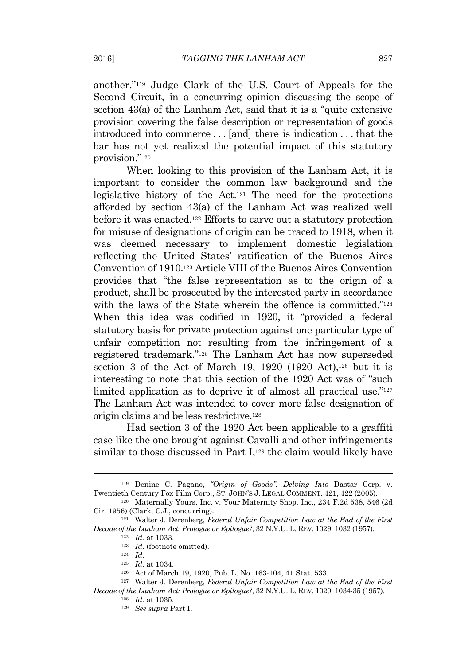another." <sup>119</sup> Judge Clark of the U.S. Court of Appeals for the Second Circuit, in a concurring opinion discussing the scope of section 43(a) of the Lanham Act, said that it is a "quite extensive provision covering the false description or representation of goods introduced into commerce . . . [and] there is indication . . . that the bar has not yet realized the potential impact of this statutory provision." 120

When looking to this provision of the Lanham Act, it is important to consider the common law background and the legislative history of the Act.<sup>121</sup> The need for the protections afforded by section 43(a) of the Lanham Act was realized well before it was enacted.<sup>122</sup> Efforts to carve out a statutory protection for misuse of designations of origin can be traced to 1918, when it was deemed necessary to implement domestic legislation reflecting the United States' ratification of the Buenos Aires Convention of 1910.<sup>123</sup> Article VIII of the Buenos Aires Convention provides that "the false representation as to the origin of a product, shall be prosecuted by the interested party in accordance with the laws of the State wherein the offence is committed."<sup>124</sup> When this idea was codified in 1920, it "provided a federal statutory basis for private protection against one particular type of unfair competition not resulting from the infringement of a registered trademark." <sup>125</sup> The Lanham Act has now superseded section 3 of the Act of March 19, 1920  $(1920 \text{ Act})$ , 126 but it is interesting to note that this section of the 1920 Act was of "such limited application as to deprive it of almost all practical use."<sup>127</sup> The Lanham Act was intended to cover more false designation of origin claims and be less restrictive.<sup>128</sup>

Had section 3 of the 1920 Act been applicable to a graffiti case like the one brought against Cavalli and other infringements similar to those discussed in Part  $I<sub>129</sub>$  the claim would likely have

<sup>119</sup> Denine C. Pagano, *"Origin of Goods": Delving Into* Dastar Corp. v. Twentieth Century Fox Film Corp., ST. JOHN'<sup>S</sup> J. LEGAL COMMENT. 421, 422 (2005).

<sup>120</sup> Maternally Yours, Inc. v. Your Maternity Shop, Inc., 234 F.2d 538, 546 (2d Cir. 1956) (Clark, C.J., concurring).

<sup>121</sup> Walter J. Derenberg, *Federal Unfair Competition Law at the End of the First Decade of the Lanham Act: Prologue or Epilogue?*, 32 N.Y.U. L. REV. 1029, 1032 (1957).

<sup>122</sup> *Id.* at 1033.

<sup>123</sup> *Id.* (footnote omitted).

<sup>124</sup> *Id.*

<sup>125</sup> *Id.* at 1034.

<sup>126</sup> Act of March 19, 1920, Pub. L. No. 163-104, 41 Stat. 533.

<sup>127</sup> Walter J. Derenberg, *Federal Unfair Competition Law at the End of the First Decade of the Lanham Act: Prologue or Epilogue?*, 32 N.Y.U. L. REV. 1029, 1034-35 (1957).

<sup>128</sup> *Id.* at 1035.

<sup>129</sup> *See supra* Part I.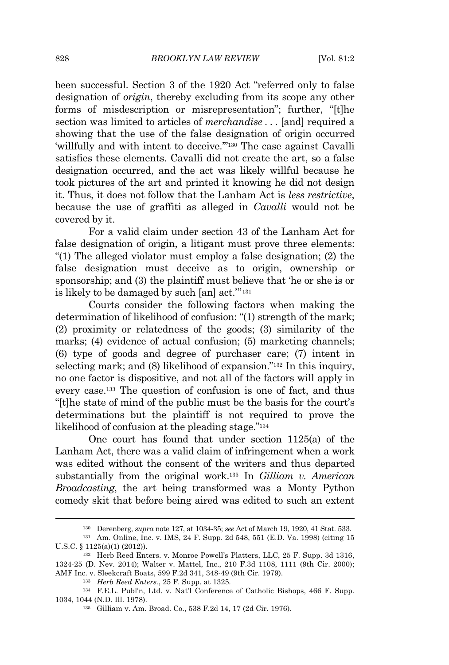been successful. Section 3 of the 1920 Act "referred only to false designation of *origin*, thereby excluding from its scope any other forms of misdescription or misrepresentation"; further, "[t]he section was limited to articles of *merchandise . . .* [and] required a showing that the use of the false designation of origin occurred 'willfully and with intent to deceive.'" <sup>130</sup> The case against Cavalli satisfies these elements. Cavalli did not create the art, so a false designation occurred, and the act was likely willful because he took pictures of the art and printed it knowing he did not design it. Thus, it does not follow that the Lanham Act is *less restrictive*, because the use of graffiti as alleged in *Cavalli* would not be covered by it.

For a valid claim under section 43 of the Lanham Act for false designation of origin, a litigant must prove three elements: "(1) The alleged violator must employ a false designation; (2) the false designation must deceive as to origin, ownership or sponsorship; and (3) the plaintiff must believe that 'he or she is or is likely to be damaged by such [an] act.'" 131

Courts consider the following factors when making the determination of likelihood of confusion: "(1) strength of the mark; (2) proximity or relatedness of the goods; (3) similarity of the marks; (4) evidence of actual confusion; (5) marketing channels; (6) type of goods and degree of purchaser care; (7) intent in selecting mark; and (8) likelihood of expansion."<sup>132</sup> In this inquiry, no one factor is dispositive, and not all of the factors will apply in every case.<sup>133</sup> The question of confusion is one of fact, and thus "[t]he state of mind of the public must be the basis for the court's determinations but the plaintiff is not required to prove the likelihood of confusion at the pleading stage."<sup>134</sup>

One court has found that under section 1125(a) of the Lanham Act, there was a valid claim of infringement when a work was edited without the consent of the writers and thus departed substantially from the original work.<sup>135</sup> In *Gilliam v. American Broadcasting*, the art being transformed was a Monty Python comedy skit that before being aired was edited to such an extent

<sup>130</sup> Derenberg, *supra* note 127, at 1034-35; *see* Act of March 19, 1920, 41 Stat. 533.

<sup>131</sup> Am. Online, Inc. v. IMS, 24 F. Supp. 2d 548, 551 (E.D. Va. 1998) (citing 15 U.S.C. § 1125(a)(1) (2012)).

<sup>132</sup> Herb Reed Enters. v. Monroe Powell's Platters, LLC, 25 F. Supp. 3d 1316, 1324-25 (D. Nev. 2014); Walter v. Mattel, Inc., 210 F.3d 1108, 1111 (9th Cir. 2000); AMF Inc. v. Sleekcraft Boats, 599 F.2d 341, 348-49 (9th Cir. 1979).

<sup>133</sup> *Herb Reed Enters.*, 25 F. Supp. at 1325*.*

<sup>134</sup> F.E.L. Publ'n, Ltd. v. Nat'l Conference of Catholic Bishops, 466 F. Supp. 1034, 1044 (N.D. Ill. 1978).

<sup>135</sup> Gilliam v. Am. Broad. Co., 538 F.2d 14, 17 (2d Cir. 1976).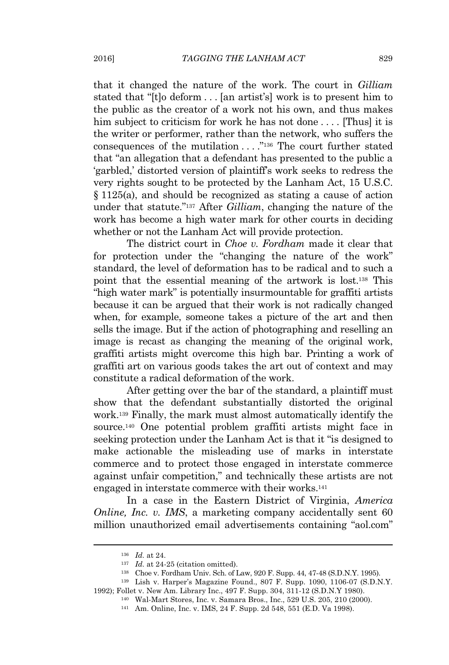that it changed the nature of the work. The court in *Gilliam* stated that "[t]o deform . . . [an artist's] work is to present him to the public as the creator of a work not his own, and thus makes him subject to criticism for work he has not done .... [Thus] it is the writer or performer, rather than the network, who suffers the consequences of the mutilation . . . . "<sup>136</sup> The court further stated that "an allegation that a defendant has presented to the public a 'garbled,' distorted version of plaintiff's work seeks to redress the very rights sought to be protected by the Lanham Act, 15 U.S.C. § 1125(a), and should be recognized as stating a cause of action under that statute." <sup>137</sup> After *Gilliam*, changing the nature of the work has become a high water mark for other courts in deciding whether or not the Lanham Act will provide protection.

The district court in *Choe v. Fordham* made it clear that for protection under the "changing the nature of the work" standard, the level of deformation has to be radical and to such a point that the essential meaning of the artwork is lost.<sup>138</sup> This "high water mark" is potentially insurmountable for graffiti artists because it can be argued that their work is not radically changed when, for example, someone takes a picture of the art and then sells the image. But if the action of photographing and reselling an image is recast as changing the meaning of the original work, graffiti artists might overcome this high bar. Printing a work of graffiti art on various goods takes the art out of context and may constitute a radical deformation of the work.

After getting over the bar of the standard, a plaintiff must show that the defendant substantially distorted the original work.<sup>139</sup> Finally, the mark must almost automatically identify the source.<sup>140</sup> One potential problem graffiti artists might face in seeking protection under the Lanham Act is that it "is designed to make actionable the misleading use of marks in interstate commerce and to protect those engaged in interstate commerce against unfair competition," and technically these artists are not engaged in interstate commerce with their works.<sup>141</sup>

In a case in the Eastern District of Virginia, *America Online, Inc. v. IMS, a marketing company accidentally sent 60* million unauthorized email advertisements containing "aol.com"

<sup>136</sup> *Id.* at 24.

<sup>&</sup>lt;sup>137</sup> *Id.* at 24-25 (citation omitted).

<sup>138</sup> Choe v. Fordham Univ. Sch. of Law, 920 F. Supp. 44, 47-48 (S.D.N.Y. 1995).

<sup>139</sup> Lish v. Harper's Magazine Found., 807 F. Supp. 1090, 1106-07 (S.D.N.Y. 1992); Follet v. New Am. Library Inc., 497 F. Supp. 304, 311-12 (S.D.N.Y 1980).

<sup>140</sup> Wal-Mart Stores, Inc. v. Samara Bros., Inc., 529 U.S. 205, 210 (2000).

<sup>141</sup> Am. Online, Inc. v. IMS, 24 F. Supp. 2d 548, 551 (E.D. Va 1998).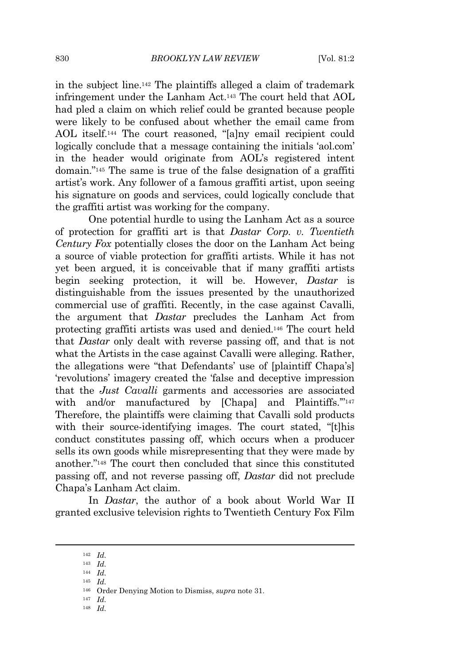in the subject line.<sup>142</sup> The plaintiffs alleged a claim of trademark infringement under the Lanham Act.<sup>143</sup> The court held that AOL had pled a claim on which relief could be granted because people were likely to be confused about whether the email came from AOL itself.<sup>144</sup> The court reasoned, "[a]ny email recipient could logically conclude that a message containing the initials 'aol.com' in the header would originate from AOL's registered intent domain." <sup>145</sup> The same is true of the false designation of a graffiti artist's work. Any follower of a famous graffiti artist, upon seeing his signature on goods and services, could logically conclude that the graffiti artist was working for the company.

One potential hurdle to using the Lanham Act as a source of protection for graffiti art is that *Dastar Corp. v. Twentieth Century Fox* potentially closes the door on the Lanham Act being a source of viable protection for graffiti artists. While it has not yet been argued, it is conceivable that if many graffiti artists begin seeking protection, it will be. However, *Dastar* is distinguishable from the issues presented by the unauthorized commercial use of graffiti. Recently, in the case against Cavalli, the argument that *Dastar* precludes the Lanham Act from protecting graffiti artists was used and denied.<sup>146</sup> The court held that *Dastar* only dealt with reverse passing off, and that is not what the Artists in the case against Cavalli were alleging. Rather, the allegations were "that Defendants' use of [plaintiff Chapa's] 'revolutions' imagery created the 'false and deceptive impression that the *Just Cavalli* garments and accessories are associated with and/or manufactured by [Chapa] and Plaintiffs."<sup>147</sup> Therefore, the plaintiffs were claiming that Cavalli sold products with their source-identifying images. The court stated, "[t]his conduct constitutes passing off, which occurs when a producer sells its own goods while misrepresenting that they were made by another." <sup>148</sup> The court then concluded that since this constituted passing off, and not reverse passing off, *Dastar* did not preclude Chapa's Lanham Act claim.

In *Dastar*, the author of a book about World War II granted exclusive television rights to Twentieth Century Fox Film

<sup>142</sup> *Id.*

<sup>143</sup> *Id.*

<sup>144</sup> *Id.*

<sup>145</sup> *Id.*

<sup>146</sup> Order Denying Motion to Dismiss, *supra* note 31.

<sup>147</sup> *Id.*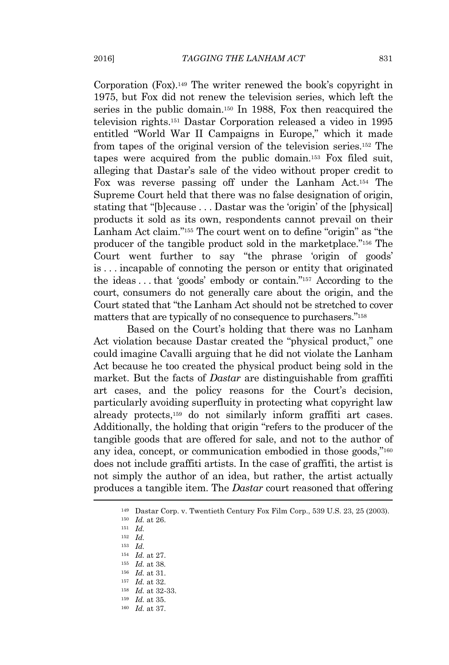Corporation (Fox).<sup>149</sup> The writer renewed the book's copyright in 1975, but Fox did not renew the television series, which left the series in the public domain.<sup>150</sup> In 1988, Fox then reacquired the television rights.<sup>151</sup> Dastar Corporation released a video in 1995 entitled "World War II Campaigns in Europe," which it made from tapes of the original version of the television series.<sup>152</sup> The tapes were acquired from the public domain.<sup>153</sup> Fox filed suit, alleging that Dastar's sale of the video without proper credit to Fox was reverse passing off under the Lanham Act.<sup>154</sup> The Supreme Court held that there was no false designation of origin, stating that "[b]ecause . . . Dastar was the 'origin' of the [physical] products it sold as its own, respondents cannot prevail on their Lanham Act claim."<sup>155</sup> The court went on to define "origin" as "the producer of the tangible product sold in the marketplace." <sup>156</sup> The Court went further to say "the phrase 'origin of goods' is . . . incapable of connoting the person or entity that originated the ideas . . . that 'goods' embody or contain." <sup>157</sup> According to the court, consumers do not generally care about the origin, and the Court stated that "the Lanham Act should not be stretched to cover matters that are typically of no consequence to purchasers." 158

Based on the Court's holding that there was no Lanham Act violation because Dastar created the "physical product," one could imagine Cavalli arguing that he did not violate the Lanham Act because he too created the physical product being sold in the market. But the facts of *Dastar* are distinguishable from graffiti art cases, and the policy reasons for the Court's decision, particularly avoiding superfluity in protecting what copyright law already protects,<sup>159</sup> do not similarly inform graffiti art cases. Additionally, the holding that origin "refers to the producer of the tangible goods that are offered for sale, and not to the author of any idea, concept, or communication embodied in those goods,"160 does not include graffiti artists. In the case of graffiti, the artist is not simply the author of an idea, but rather, the artist actually produces a tangible item. The *Dastar* court reasoned that offering

- <sup>156</sup> *Id.* at 31.
- <sup>157</sup> *Id.* at 32.
- <sup>158</sup> *Id.* at 32-33.
- <sup>159</sup> *Id.* at 35. <sup>160</sup> *Id.* at 37.

<sup>149</sup> Dastar Corp. v. Twentieth Century Fox Film Corp., 539 U.S. 23, 25 (2003).

<sup>150</sup> *Id.* at 26.

<sup>151</sup> *Id.*

<sup>152</sup> *Id.*

<sup>153</sup> *Id.*

<sup>154</sup> *Id.* at 27.

<sup>155</sup> *Id.* at 38*.*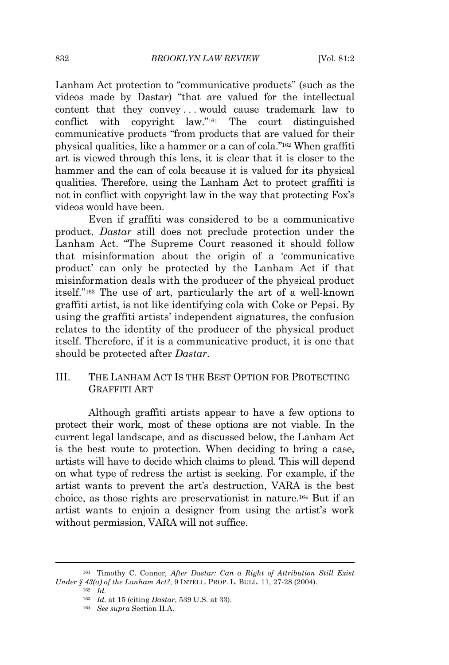Lanham Act protection to "communicative products" (such as the videos made by Dastar) "that are valued for the intellectual content that they convey . . . would cause trademark law to conflict with copyright law." <sup>161</sup> The court distinguished communicative products "from products that are valued for their physical qualities, like a hammer or a can of cola." <sup>162</sup> When graffiti art is viewed through this lens, it is clear that it is closer to the hammer and the can of cola because it is valued for its physical qualities. Therefore, using the Lanham Act to protect graffiti is not in conflict with copyright law in the way that protecting Fox's videos would have been.

Even if graffiti was considered to be a communicative product, *Dastar* still does not preclude protection under the Lanham Act. "The Supreme Court reasoned it should follow that misinformation about the origin of a 'communicative product' can only be protected by the Lanham Act if that misinformation deals with the producer of the physical product itself." <sup>163</sup> The use of art, particularly the art of a well-known graffiti artist, is not like identifying cola with Coke or Pepsi. By using the graffiti artists' independent signatures, the confusion relates to the identity of the producer of the physical product itself. Therefore, if it is a communicative product, it is one that should be protected after *Dastar*.

## III. THE LANHAM ACT IS THE BEST OPTION FOR PROTECTING GRAFFITI ART

Although graffiti artists appear to have a few options to protect their work, most of these options are not viable. In the current legal landscape, and as discussed below, the Lanham Act is the best route to protection. When deciding to bring a case, artists will have to decide which claims to plead. This will depend on what type of redress the artist is seeking. For example, if the artist wants to prevent the art's destruction, VARA is the best choice, as those rights are preservationist in nature.<sup>164</sup> But if an artist wants to enjoin a designer from using the artist's work without permission, VARA will not suffice.

<sup>161</sup> Timothy C. Connor, *After Dastar: Can a Right of Attribution Still Exist Under § 43(a) of the Lanham Act?*, 9 INTELL. PROP. L. BULL. 11, 27-28 (2004).

<sup>162</sup> *Id.*

<sup>163</sup> *Id.* at 15 (citing *Dastar*, 539 U.S. at 33).

<sup>164</sup> *See supra* Section II.A.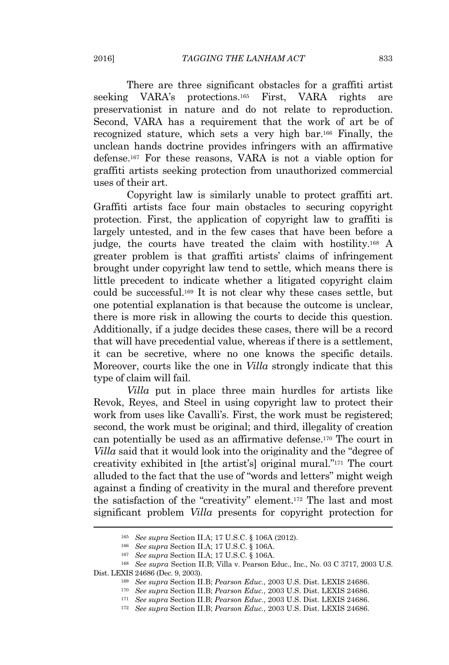There are three significant obstacles for a graffiti artist seeking VARA's protections.<sup>165</sup> First, VARA rights are preservationist in nature and do not relate to reproduction. Second, VARA has a requirement that the work of art be of recognized stature, which sets a very high bar.<sup>166</sup> Finally, the unclean hands doctrine provides infringers with an affirmative defense.<sup>167</sup> For these reasons, VARA is not a viable option for graffiti artists seeking protection from unauthorized commercial uses of their art.

Copyright law is similarly unable to protect graffiti art. Graffiti artists face four main obstacles to securing copyright protection. First, the application of copyright law to graffiti is largely untested, and in the few cases that have been before a judge, the courts have treated the claim with hostility.<sup>168</sup> A greater problem is that graffiti artists' claims of infringement brought under copyright law tend to settle, which means there is little precedent to indicate whether a litigated copyright claim could be successful.<sup>169</sup> It is not clear why these cases settle, but one potential explanation is that because the outcome is unclear, there is more risk in allowing the courts to decide this question. Additionally, if a judge decides these cases, there will be a record that will have precedential value, whereas if there is a settlement, it can be secretive, where no one knows the specific details. Moreover, courts like the one in *Villa* strongly indicate that this type of claim will fail.

*Villa* put in place three main hurdles for artists like Revok, Reyes, and Steel in using copyright law to protect their work from uses like Cavalli's. First, the work must be registered; second, the work must be original; and third, illegality of creation can potentially be used as an affirmative defense.<sup>170</sup> The court in *Villa* said that it would look into the originality and the "degree of creativity exhibited in [the artist's] original mural." <sup>171</sup> The court alluded to the fact that the use of "words and letters" might weigh against a finding of creativity in the mural and therefore prevent the satisfaction of the "creativity" element.<sup>172</sup> The last and most significant problem *Villa* presents for copyright protection for

<sup>165</sup> *See supra* Section II.A; 17 U.S.C. § 106A (2012).

<sup>166</sup> *See supra* Section II.A; 17 U.S.C. § 106A.

<sup>167</sup> *See supra* Section II.A; 17 U.S.C. § 106A.

<sup>168</sup> *See supra* Section II.B; Villa v. Pearson Educ., Inc., No. 03 C 3717, 2003 U.S. Dist. LEXIS 24686 (Dec. 9, 2003).

<sup>169</sup> *See supra* Section II.B; *Pearson Educ.*, 2003 U.S. Dist. LEXIS 24686.

<sup>170</sup> *See supra* Section II.B; *Pearson Educ.*, 2003 U.S. Dist. LEXIS 24686.

<sup>171</sup> *See supra* Section II.B; *Pearson Educ*., 2003 U.S. Dist. LEXIS 24686.

<sup>172</sup> *See supra* Section II.B; *Pearson Educ.*, 2003 U.S. Dist. LEXIS 24686.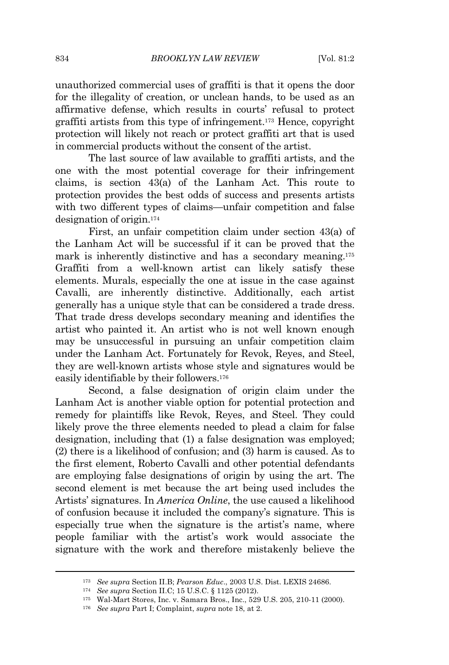unauthorized commercial uses of graffiti is that it opens the door for the illegality of creation, or unclean hands, to be used as an affirmative defense, which results in courts' refusal to protect graffiti artists from this type of infringement.<sup>173</sup> Hence, copyright protection will likely not reach or protect graffiti art that is used in commercial products without the consent of the artist.

The last source of law available to graffiti artists, and the one with the most potential coverage for their infringement claims, is section 43(a) of the Lanham Act. This route to protection provides the best odds of success and presents artists with two different types of claims—unfair competition and false designation of origin.<sup>174</sup>

First, an unfair competition claim under section 43(a) of the Lanham Act will be successful if it can be proved that the mark is inherently distinctive and has a secondary meaning.<sup>175</sup> Graffiti from a well-known artist can likely satisfy these elements. Murals, especially the one at issue in the case against Cavalli, are inherently distinctive. Additionally, each artist generally has a unique style that can be considered a trade dress. That trade dress develops secondary meaning and identifies the artist who painted it. An artist who is not well known enough may be unsuccessful in pursuing an unfair competition claim under the Lanham Act. Fortunately for Revok, Reyes, and Steel, they are well-known artists whose style and signatures would be easily identifiable by their followers.<sup>176</sup>

Second, a false designation of origin claim under the Lanham Act is another viable option for potential protection and remedy for plaintiffs like Revok, Reyes, and Steel. They could likely prove the three elements needed to plead a claim for false designation, including that (1) a false designation was employed; (2) there is a likelihood of confusion; and (3) harm is caused. As to the first element, Roberto Cavalli and other potential defendants are employing false designations of origin by using the art. The second element is met because the art being used includes the Artists' signatures. In *America Online*, the use caused a likelihood of confusion because it included the company's signature. This is especially true when the signature is the artist's name, where people familiar with the artist's work would associate the signature with the work and therefore mistakenly believe the

<sup>173</sup> *See supra* Section II.B; *Pearson Educ*., 2003 U.S. Dist. LEXIS 24686.

<sup>174</sup> *See supra* Section II.C; 15 U.S.C. § 1125 (2012).

<sup>175</sup> Wal-Mart Stores, Inc. v. Samara Bros., Inc., 529 U.S. 205, 210-11 (2000).

<sup>176</sup> *See supra* Part I; Complaint, *supra* note 18, at 2.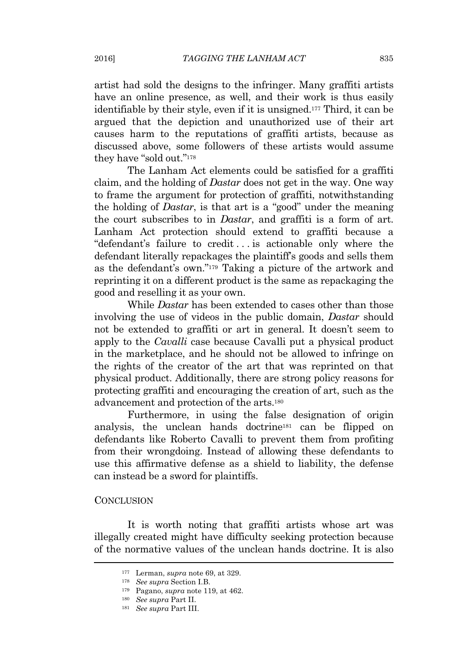artist had sold the designs to the infringer. Many graffiti artists have an online presence, as well, and their work is thus easily identifiable by their style, even if it is unsigned.<sup>177</sup> Third, it can be argued that the depiction and unauthorized use of their art causes harm to the reputations of graffiti artists, because as discussed above, some followers of these artists would assume they have "sold out."<sup>178</sup>

The Lanham Act elements could be satisfied for a graffiti claim, and the holding of *Dastar* does not get in the way. One way to frame the argument for protection of graffiti, notwithstanding the holding of *Dastar*, is that art is a "good" under the meaning the court subscribes to in *Dastar*, and graffiti is a form of art. Lanham Act protection should extend to graffiti because a "defendant's failure to credit . . . is actionable only where the defendant literally repackages the plaintiff's goods and sells them as the defendant's own." <sup>179</sup> Taking a picture of the artwork and reprinting it on a different product is the same as repackaging the good and reselling it as your own.

While *Dastar* has been extended to cases other than those involving the use of videos in the public domain, *Dastar* should not be extended to graffiti or art in general. It doesn't seem to apply to the *Cavalli* case because Cavalli put a physical product in the marketplace, and he should not be allowed to infringe on the rights of the creator of the art that was reprinted on that physical product. Additionally, there are strong policy reasons for protecting graffiti and encouraging the creation of art, such as the advancement and protection of the arts.<sup>180</sup>

Furthermore, in using the false designation of origin analysis, the unclean hands doctrine<sup>181</sup> can be flipped on defendants like Roberto Cavalli to prevent them from profiting from their wrongdoing. Instead of allowing these defendants to use this affirmative defense as a shield to liability, the defense can instead be a sword for plaintiffs.

#### **CONCLUSION**

It is worth noting that graffiti artists whose art was illegally created might have difficulty seeking protection because of the normative values of the unclean hands doctrine. It is also

<sup>177</sup> Lerman, *supra* note 69, at 329.

<sup>178</sup> *See supra* Section I.B.

<sup>179</sup> Pagano, *supra* note 119, at 462.

<sup>180</sup> *See supra* Part II.

<sup>181</sup> *See supra* Part III.